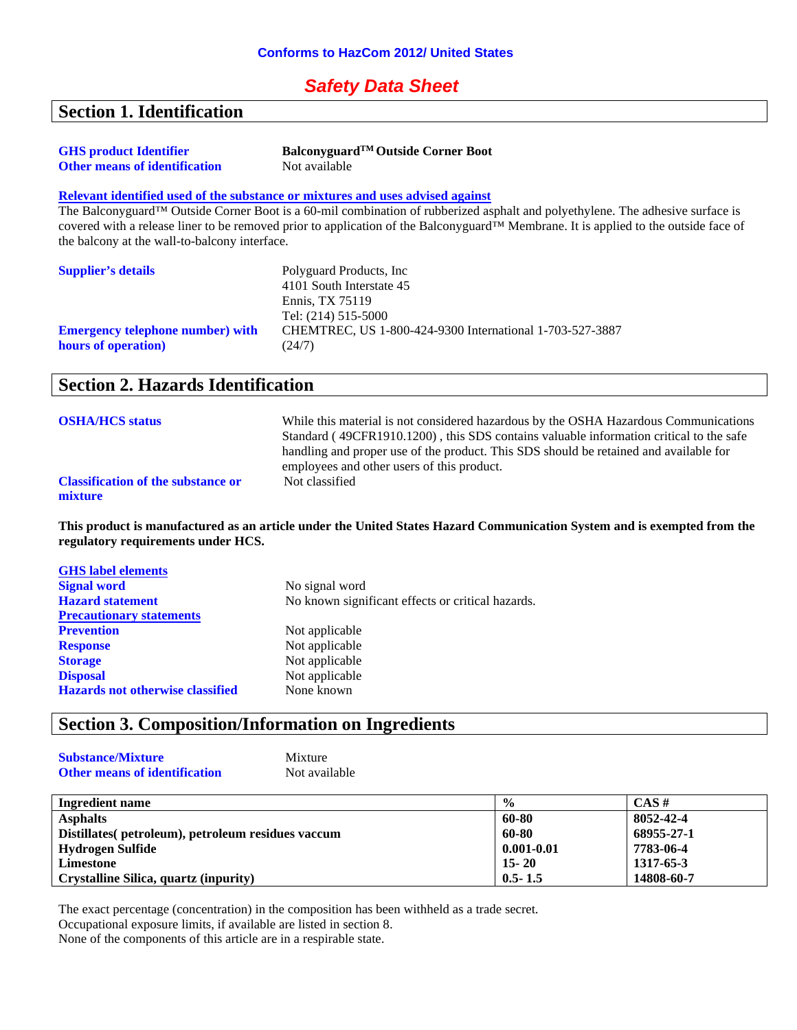#### *Safety Data Sheet*

#### **Section 1. Identification**

| <b>GHS</b> product Identifier        | Balconyguard <sup>™</sup> Outside Corner Boot |
|--------------------------------------|-----------------------------------------------|
| <b>Other means of identification</b> | Not available                                 |

#### **Relevant identified used of the substance or mixtures and uses advised against**

The Balconyguard™ Outside Corner Boot is a 60-mil combination of rubberized asphalt and polyethylene. The adhesive surface is covered with a release liner to be removed prior to application of the Balconyguard™ Membrane. It is applied to the outside face of the balcony at the wall-to-balcony interface.

| <b>Supplier's details</b>               | Polyguard Products, Inc.                                 |
|-----------------------------------------|----------------------------------------------------------|
|                                         | 4101 South Interstate 45                                 |
|                                         | Ennis. TX 75119                                          |
|                                         | Tel: (214) 515-5000                                      |
| <b>Emergency telephone number)</b> with | CHEMTREC, US 1-800-424-9300 International 1-703-527-3887 |
| hours of operation)                     | (24/7)                                                   |

#### **Section 2. Hazards Identification**

| <b>OSHA/HCS status</b>                               | While this material is not considered hazardous by the OSHA Hazardous Communications<br>Standard (49CFR1910.1200), this SDS contains valuable information critical to the safe<br>handling and proper use of the product. This SDS should be retained and available for |
|------------------------------------------------------|-------------------------------------------------------------------------------------------------------------------------------------------------------------------------------------------------------------------------------------------------------------------------|
|                                                      | employees and other users of this product.                                                                                                                                                                                                                              |
| <b>Classification of the substance or</b><br>mixture | Not classified                                                                                                                                                                                                                                                          |

**This product is manufactured as an article under the United States Hazard Communication System and is exempted from the regulatory requirements under HCS.**

| <b>GHS</b> label elements               |                                                   |
|-----------------------------------------|---------------------------------------------------|
| <b>Signal word</b>                      | No signal word                                    |
| <b>Hazard statement</b>                 | No known significant effects or critical hazards. |
| <b>Precautionary statements</b>         |                                                   |
| <b>Prevention</b>                       | Not applicable                                    |
| <b>Response</b>                         | Not applicable                                    |
| <b>Storage</b>                          | Not applicable                                    |
| <b>Disposal</b>                         | Not applicable                                    |
| <b>Hazards not otherwise classified</b> | None known                                        |
|                                         |                                                   |

## **Section 3. Composition/Information on Ingredients**

| <b>Substance/Mixture</b>             | Mixture       |
|--------------------------------------|---------------|
| <b>Other means of identification</b> | Not available |

| Ingredient name                                    | $\frac{0}{0}$  | $CAS \#$   |
|----------------------------------------------------|----------------|------------|
| <b>Asphalts</b>                                    | 60-80          | 8052-42-4  |
| Distillates (petroleum), petroleum residues vaccum | 60-80          | 68955-27-1 |
| Hydrogen Sulfide                                   | $0.001 - 0.01$ | 7783-06-4  |
| Limestone                                          | $15 - 20$      | 1317-65-3  |
| Crystalline Silica, quartz (inpurity)              | $0.5 - 1.5$    | 14808-60-7 |

The exact percentage (concentration) in the composition has been withheld as a trade secret.

Occupational exposure limits, if available are listed in section 8.

None of the components of this article are in a respirable state.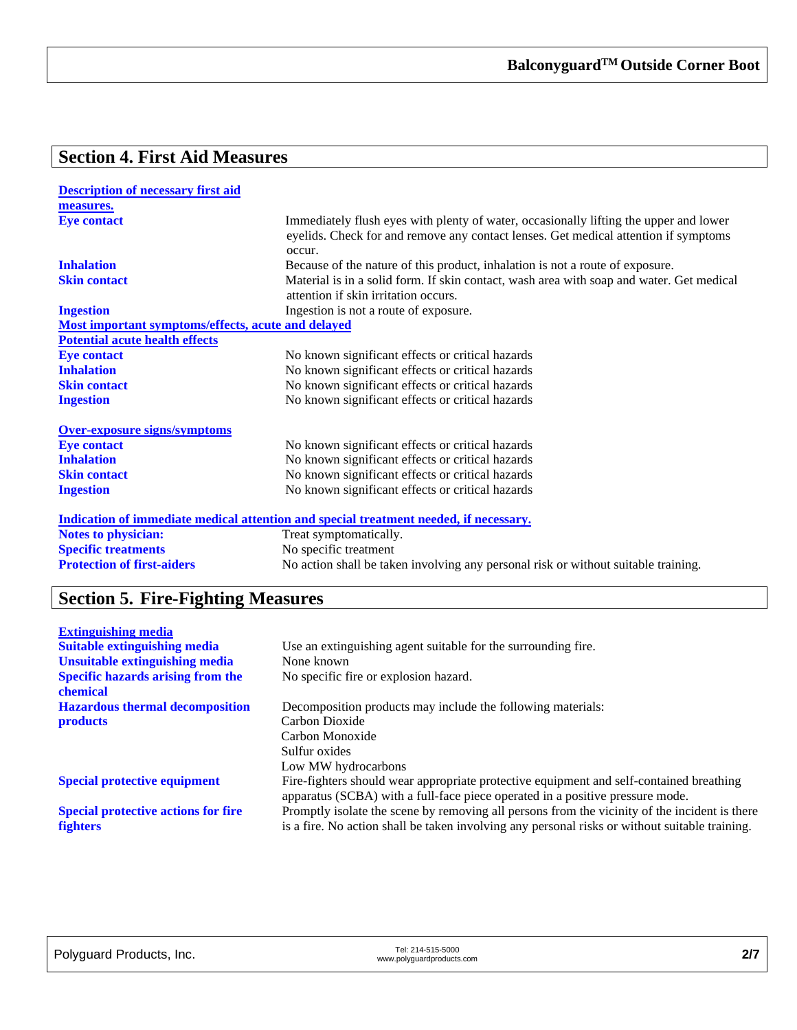# **Section 4. First Aid Measures**

| <b>Description of necessary first aid</b>                 |                                                                                                                                                                                        |
|-----------------------------------------------------------|----------------------------------------------------------------------------------------------------------------------------------------------------------------------------------------|
| measures.                                                 |                                                                                                                                                                                        |
| <b>Eye contact</b>                                        | Immediately flush eyes with plenty of water, occasionally lifting the upper and lower<br>eyelids. Check for and remove any contact lenses. Get medical attention if symptoms<br>occur. |
| <b>Inhalation</b>                                         | Because of the nature of this product, inhalation is not a route of exposure.                                                                                                          |
| <b>Skin contact</b>                                       | Material is in a solid form. If skin contact, wash area with soap and water. Get medical<br>attention if skin irritation occurs.                                                       |
| <b>Ingestion</b>                                          | Ingestion is not a route of exposure.                                                                                                                                                  |
| <u>Most important symptoms/effects, acute and delayed</u> |                                                                                                                                                                                        |
| <b>Potential acute health effects</b>                     |                                                                                                                                                                                        |
| <b>Eye contact</b>                                        | No known significant effects or critical hazards                                                                                                                                       |
| <b>Inhalation</b>                                         | No known significant effects or critical hazards                                                                                                                                       |
| <b>Skin contact</b>                                       | No known significant effects or critical hazards                                                                                                                                       |
| <b>Ingestion</b>                                          | No known significant effects or critical hazards                                                                                                                                       |
| <b>Over-exposure signs/symptoms</b>                       |                                                                                                                                                                                        |
| <b>Eye contact</b>                                        | No known significant effects or critical hazards                                                                                                                                       |
| <b>Inhalation</b>                                         | No known significant effects or critical hazards                                                                                                                                       |
| <b>Skin contact</b>                                       | No known significant effects or critical hazards                                                                                                                                       |
| <b>Ingestion</b>                                          | No known significant effects or critical hazards                                                                                                                                       |
|                                                           | Indication of immediate medical attention and special treatment needed, if necessary.                                                                                                  |
| <b>Notes to physician:</b>                                | Treat symptomatically.                                                                                                                                                                 |
| <b>Specific treatments</b>                                | No specific treatment                                                                                                                                                                  |
| <b>Protection of first-aiders</b>                         | No action shall be taken involving any personal risk or without suitable training.                                                                                                     |

# **Section 5. Fire-Fighting Measures**

| <b>Extinguishing media</b>                 |                                                                                                                                                                          |
|--------------------------------------------|--------------------------------------------------------------------------------------------------------------------------------------------------------------------------|
| <b>Suitable extinguishing media</b>        | Use an extinguishing agent suitable for the surrounding fire.                                                                                                            |
| <b>Unsuitable extinguishing media</b>      | None known                                                                                                                                                               |
| <b>Specific hazards arising from the</b>   | No specific fire or explosion hazard.                                                                                                                                    |
| chemical                                   |                                                                                                                                                                          |
| <b>Hazardous thermal decomposition</b>     | Decomposition products may include the following materials:                                                                                                              |
| <b>products</b>                            | Carbon Dioxide                                                                                                                                                           |
|                                            | Carbon Monoxide                                                                                                                                                          |
|                                            | Sulfur oxides                                                                                                                                                            |
|                                            | Low MW hydrocarbons                                                                                                                                                      |
| <b>Special protective equipment</b>        | Fire-fighters should wear appropriate protective equipment and self-contained breathing<br>apparatus (SCBA) with a full-face piece operated in a positive pressure mode. |
| <b>Special protective actions for fire</b> | Promptly isolate the scene by removing all persons from the vicinity of the incident is there                                                                            |
| <b>fighters</b>                            | is a fire. No action shall be taken involving any personal risks or without suitable training.                                                                           |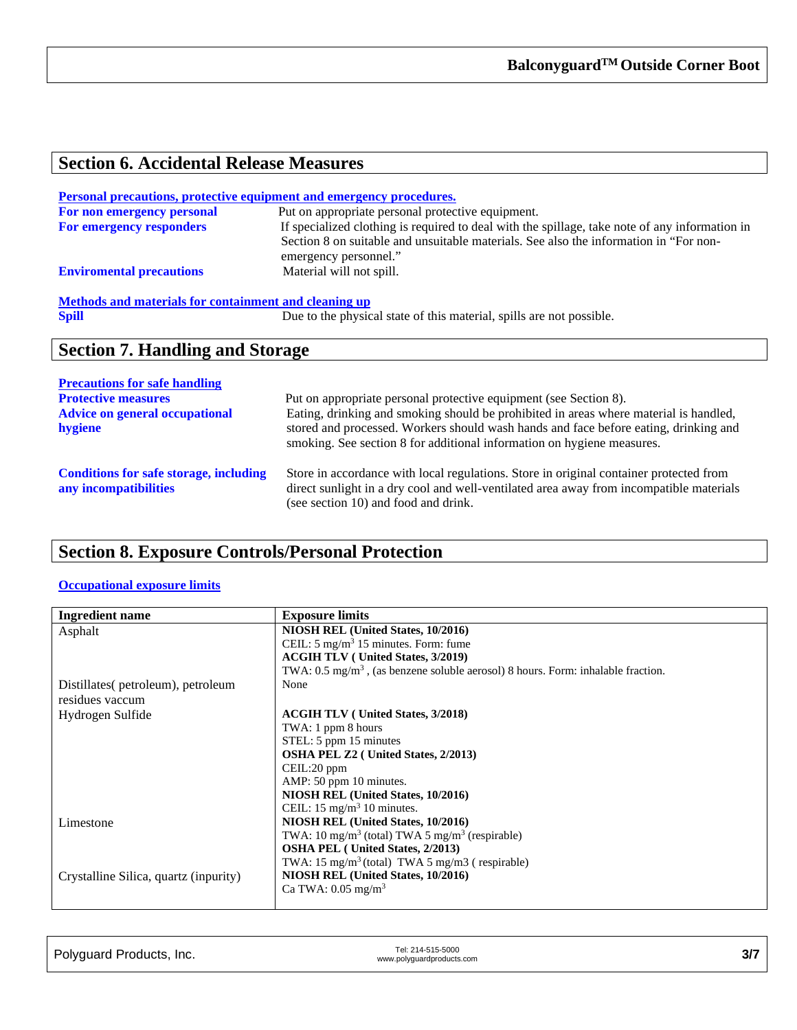## **Section 6. Accidental Release Measures**

| <b>Personal precautions, protective equipment and emergency procedures.</b> |                                                                                                                                                                                                                  |
|-----------------------------------------------------------------------------|------------------------------------------------------------------------------------------------------------------------------------------------------------------------------------------------------------------|
| For non emergency personal                                                  | Put on appropriate personal protective equipment.                                                                                                                                                                |
| For emergency responders                                                    | If specialized clothing is required to deal with the spillage, take note of any information in<br>Section 8 on suitable and unsuitable materials. See also the information in "For non-<br>emergency personnel." |
| <b>Enviromental precautions</b>                                             | Material will not spill.                                                                                                                                                                                         |
| Methods and materials for containment and cleaning up                       |                                                                                                                                                                                                                  |
| <b>Spill</b>                                                                | Due to the physical state of this material, spills are not possible.                                                                                                                                             |
| <b>Section 7. Handling and Storage</b>                                      |                                                                                                                                                                                                                  |
|                                                                             |                                                                                                                                                                                                                  |
| <b>Precautions for safe handling</b><br><b>Protective measures</b>          |                                                                                                                                                                                                                  |
|                                                                             | Put on appropriate personal protective equipment (see Section 8).                                                                                                                                                |
| <b>Advice on general occupational</b>                                       | Eating, drinking and smoking should be prohibited in areas where material is handled,                                                                                                                            |
| hygiene                                                                     | stored and processed. Workers should wash hands and face before eating, drinking and<br>smoking. See section 8 for additional information on hygiene measures.                                                   |

| <b>Conditions for safe storage, including</b> |  |
|-----------------------------------------------|--|
| any incompatibilities                         |  |

Store in accordance with local regulations. Store in original container protected from direct sunlight in a dry cool and well-ventilated area away from incompatible materials (see section 10) and food and drink.

#### **Section 8. Exposure Controls/Personal Protection**

#### **Occupational exposure limits**

| <b>Ingredient name</b>                | <b>Exposure limits</b>                                                                      |
|---------------------------------------|---------------------------------------------------------------------------------------------|
| Asphalt                               | NIOSH REL (United States, 10/2016)                                                          |
|                                       | CEIL: $5 \text{ mg/m}^3$ 15 minutes. Form: fume                                             |
|                                       | <b>ACGIH TLV</b> ( United States, 3/2019)                                                   |
|                                       | TWA: $0.5 \text{ mg/m}^3$ , (as benzene soluble aerosol) 8 hours. Form: inhalable fraction. |
| Distillates (petroleum), petroleum    | None                                                                                        |
| residues vaccum                       |                                                                                             |
| Hydrogen Sulfide                      | <b>ACGIH TLV</b> (United States, 3/2018)                                                    |
|                                       | TWA: 1 ppm 8 hours                                                                          |
|                                       | STEL: 5 ppm 15 minutes                                                                      |
|                                       | OSHA PEL Z2 (United States, 2/2013)                                                         |
|                                       | CEIL:20 ppm                                                                                 |
|                                       | AMP: 50 ppm 10 minutes.                                                                     |
|                                       | NIOSH REL (United States, 10/2016)                                                          |
|                                       | CEIL: $15 \text{ mg/m}^3$ 10 minutes.                                                       |
| Limestone                             | NIOSH REL (United States, 10/2016)                                                          |
|                                       | TWA: 10 mg/m <sup>3</sup> (total) TWA 5 mg/m <sup>3</sup> (respirable)                      |
|                                       | <b>OSHA PEL</b> (United States, 2/2013)                                                     |
|                                       | TWA: $15 \text{ mg/m}^3$ (total) TWA 5 mg/m3 (respirable)                                   |
| Crystalline Silica, quartz (inpurity) | NIOSH REL (United States, 10/2016)                                                          |
|                                       | Ca TWA: $0.05$ mg/m <sup>3</sup>                                                            |
|                                       |                                                                                             |

| Polyguard Products, Inc. | Tel: 214-515-5000<br>www.polyguardproducts.com |  |
|--------------------------|------------------------------------------------|--|
|                          |                                                |  |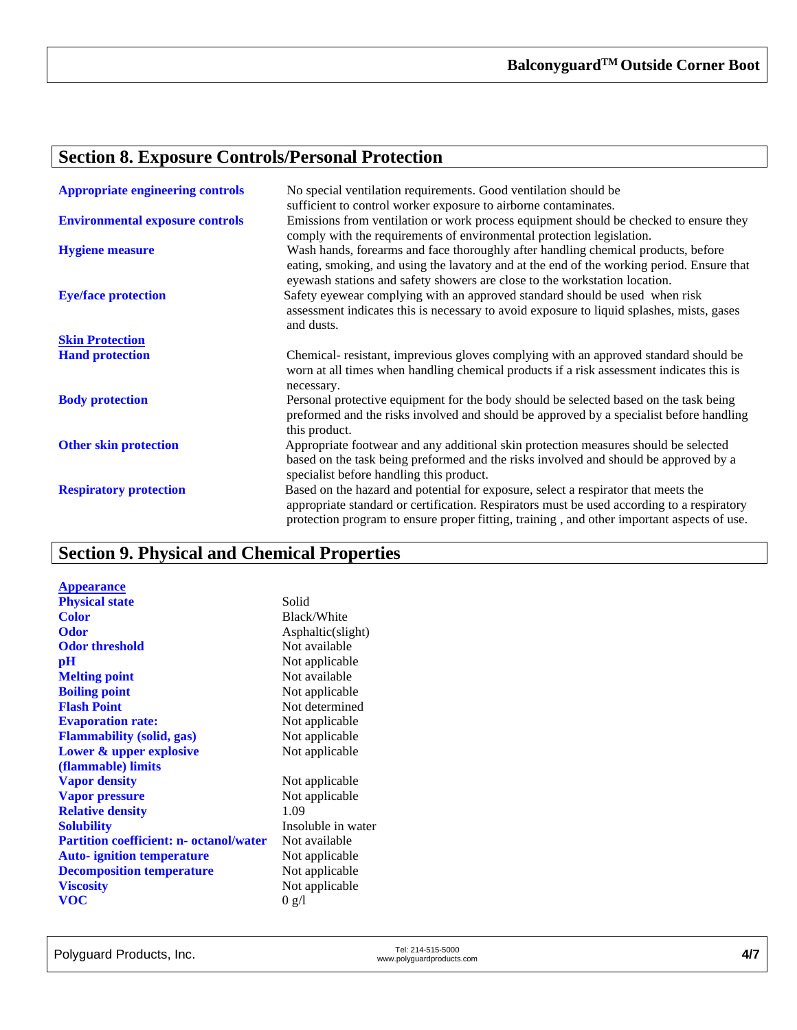#### **Section 8. Exposure Controls/Personal Protection**

| <b>Appropriate engineering controls</b> | No special ventilation requirements. Good ventilation should be<br>sufficient to control worker exposure to airborne contaminates.                                                                                                                                             |
|-----------------------------------------|--------------------------------------------------------------------------------------------------------------------------------------------------------------------------------------------------------------------------------------------------------------------------------|
| <b>Environmental exposure controls</b>  | Emissions from ventilation or work process equipment should be checked to ensure they<br>comply with the requirements of environmental protection legislation.                                                                                                                 |
| <b>Hygiene measure</b>                  | Wash hands, forearms and face thoroughly after handling chemical products, before<br>eating, smoking, and using the lavatory and at the end of the working period. Ensure that<br>eyewash stations and safety showers are close to the workstation location.                   |
| <b>Eye/face protection</b>              | Safety eyewear complying with an approved standard should be used when risk<br>assessment indicates this is necessary to avoid exposure to liquid splashes, mists, gases<br>and dusts.                                                                                         |
| <b>Skin Protection</b>                  |                                                                                                                                                                                                                                                                                |
| <b>Hand protection</b>                  | Chemical-resistant, imprevious gloves complying with an approved standard should be<br>worn at all times when handling chemical products if a risk assessment indicates this is<br>necessary.                                                                                  |
| <b>Body protection</b>                  | Personal protective equipment for the body should be selected based on the task being<br>preformed and the risks involved and should be approved by a specialist before handling<br>this product.                                                                              |
| <b>Other skin protection</b>            | Appropriate footwear and any additional skin protection measures should be selected<br>based on the task being preformed and the risks involved and should be approved by a<br>specialist before handling this product.                                                        |
| <b>Respiratory protection</b>           | Based on the hazard and potential for exposure, select a respirator that meets the<br>appropriate standard or certification. Respirators must be used according to a respiratory<br>protection program to ensure proper fitting, training, and other important aspects of use. |

## **Section 9. Physical and Chemical Properties**

**Appearance Physical state** Solid Color Black **Color** Black/White **Odor Conserversity Conserversity Conserversity Asphaltic(slight) Odor threshold Not available Odor threshold pH** Not applicable<br> **Melting point** Not available **Melting point**<br>**Boiling point Flash Point** Not determined **Evaporation rate:** Not applicable<br> **Flammability** (solid, gas) Not applicable **Flammability** (solid, gas) **Lower & upper explosive (flammable) limits Vapor density** Not applicable **Vapor pressure** Not applicable **Relative density** 1.09<br> **Solubility** Insol **Partition coefficient: n- octanol/water** Not available **Auto- ignition temperature** Not applicable<br> **Decomposition temperature** Not applicable **Decomposition temperature Viscosity** Not applicable<br> **VOC** 0  $g/l$ **VOC** 0 g/l

**Not applicable** Not applicable **Insoluble** in water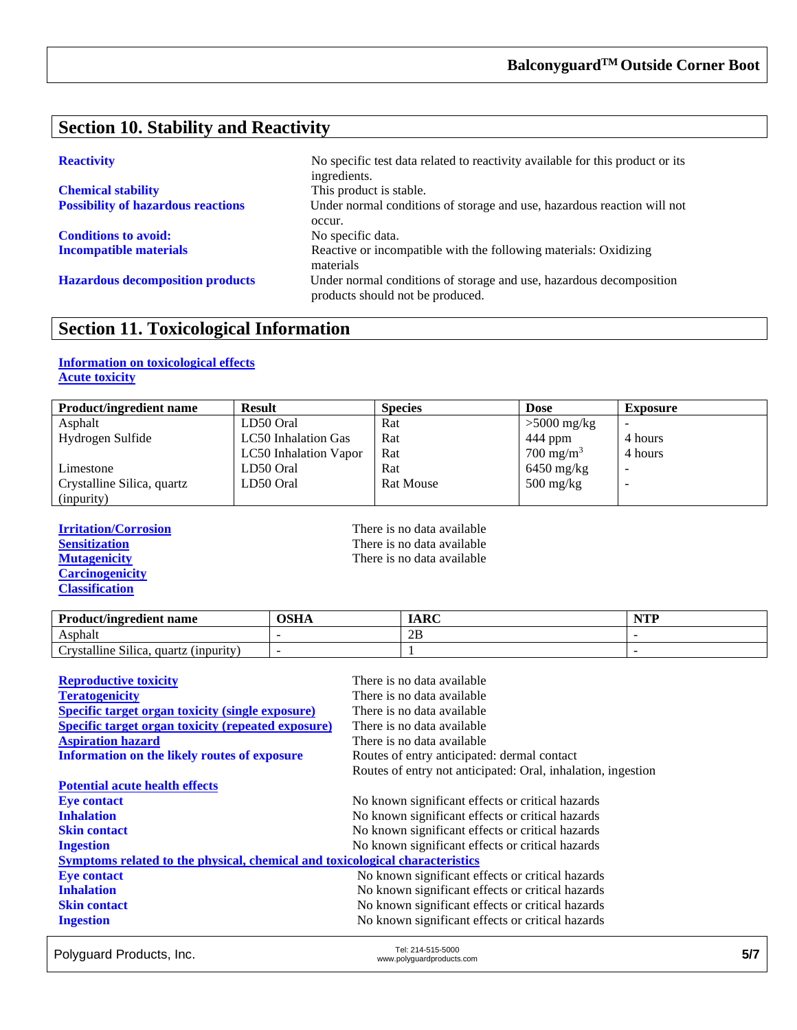### **Section 10. Stability and Reactivity**

| <b>Chemical stability</b>                 |  |
|-------------------------------------------|--|
| <b>Possibility of hazardous reactions</b> |  |

**Conditions to avoid:** No specific data.

**Reactivity** No specific test data related to reactivity available for this product or its ingredients. This product is stable. Under normal conditions of storage and use, hazardous reaction will not occur. **Incompatible materials** Reactive or incompatible with the following materials: Oxidizing materials **Hazardous decomposition products** Under normal conditions of storage and use, hazardous decomposition products should not be produced.

#### **Section 11. Toxicological Information**

#### **Information on toxicological effects Acute toxicity**

| <b>Product/ingredient name</b> | <b>Result</b>                | <b>Species</b>   | <b>Dose</b>          | <b>Exposure</b> |
|--------------------------------|------------------------------|------------------|----------------------|-----------------|
| Asphalt                        | LD50 Oral                    | Rat              | $>5000$ mg/kg        | -               |
| Hydrogen Sulfide               | LC50 Inhalation Gas          | Rat              | $444$ ppm            | 4 hours         |
|                                | <b>LC50</b> Inhalation Vapor | Rat              | $700 \text{ mg/m}^3$ | 4 hours         |
| Limestone                      | LD50 Oral                    | Rat              | $6450$ mg/kg         |                 |
| Crystalline Silica, quartz     | LD50 Oral                    | <b>Rat Mouse</b> | $500 \text{ mg/kg}$  |                 |
| (inpurity)                     |                              |                  |                      |                 |

**Carcinogenicity Classification**

**Irritation/Corrosion**<br> **I** There is no data available<br> **I** There is no data available<br> **I** There is no data available **Sensitization**<br> **Sensitization**<br> **Mutagenicity**<br> **CO**<br> **CO**<br> **CO**<br> **CO**<br> **CO**<br> **CO**<br> **CO**<br> **CO**<br> **CO**<br> **CO**<br> **CO**<br> **CO**<br> **CO**<br> **CO**<br> **CO**<br> **CO**<br> **CO**<br> **CO**<br> **CO**<br> **CO**<br> **CO**<br> **CO**<br> **CO**<br> **CO**<br> **CO**<br> **CO**<br> **CO**<br> **CO**<br> **CO** There is no data available

| <b>Product/ingredient name</b>           | OSHA | IARC | $\gamma$ true $\gamma$<br>. |
|------------------------------------------|------|------|-----------------------------|
| Asphalt                                  |      | 2B   |                             |
| Crystalline Silica,<br>quartz (inpurity) |      |      |                             |

| <b>Reproductive toxicity</b>                                                 | There is no data available                                   |  |
|------------------------------------------------------------------------------|--------------------------------------------------------------|--|
| <b>Teratogenicity</b>                                                        | There is no data available                                   |  |
| <b>Specific target organ toxicity (single exposure)</b>                      | There is no data available                                   |  |
| <b>Specific target organ toxicity (repeated exposure)</b>                    | There is no data available                                   |  |
| <b>Aspiration hazard</b>                                                     | There is no data available                                   |  |
| <b>Information on the likely routes of exposure</b>                          | Routes of entry anticipated: dermal contact                  |  |
|                                                                              | Routes of entry not anticipated: Oral, inhalation, ingestion |  |
| <b>Potential acute health effects</b>                                        |                                                              |  |
| <b>Eve contact</b>                                                           | No known significant effects or critical hazards             |  |
| <b>Inhalation</b>                                                            | No known significant effects or critical hazards             |  |
| <b>Skin contact</b>                                                          | No known significant effects or critical hazards             |  |
| <b>Ingestion</b>                                                             | No known significant effects or critical hazards             |  |
| Symptoms related to the physical, chemical and toxicological characteristics |                                                              |  |
| <b>Eye contact</b>                                                           | No known significant effects or critical hazards             |  |
| <b>Inhalation</b>                                                            | No known significant effects or critical hazards             |  |
| <b>Skin contact</b>                                                          | No known significant effects or critical hazards             |  |
| <b>Ingestion</b>                                                             | No known significant effects or critical hazards             |  |

Polyguard Products, Inc.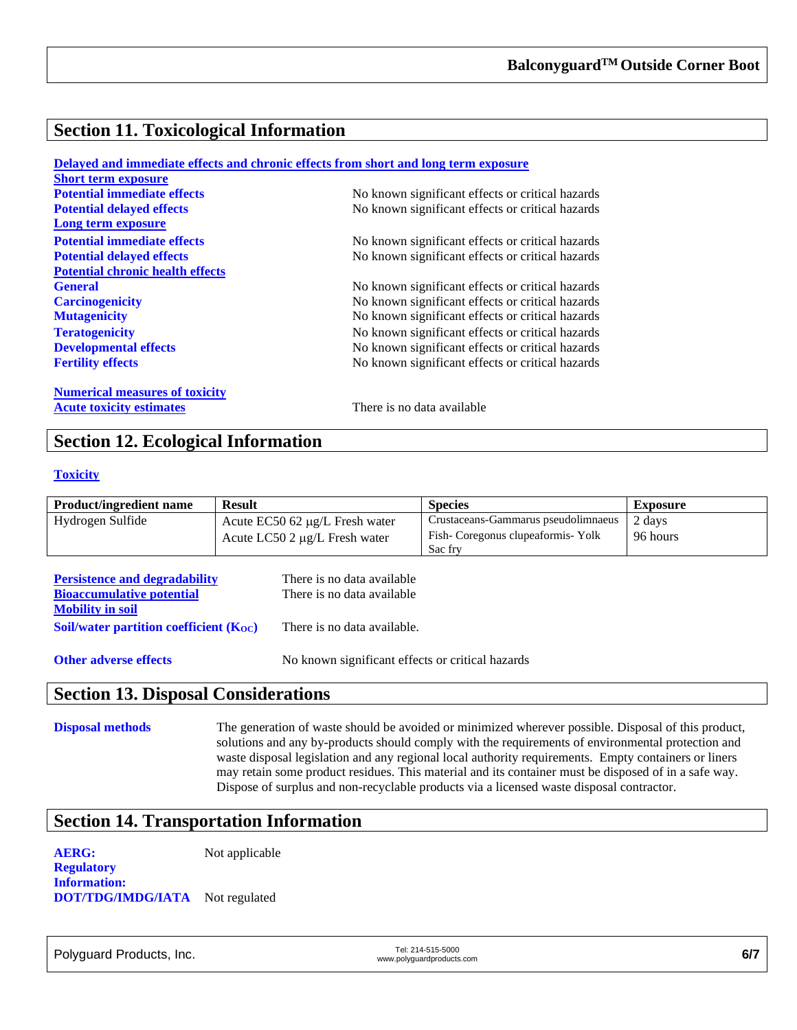### **Section 11. Toxicological Information**

|                                         | Delayed and immediate effects and chronic effects from short and long term exposure |
|-----------------------------------------|-------------------------------------------------------------------------------------|
| <b>Short term exposure</b>              |                                                                                     |
| <b>Potential immediate effects</b>      | No known significant effects or critical hazards                                    |
| <b>Potential delayed effects</b>        | No known significant effects or critical hazards                                    |
| Long term exposure                      |                                                                                     |
| <b>Potential immediate effects</b>      | No known significant effects or critical hazards                                    |
| <b>Potential delayed effects</b>        | No known significant effects or critical hazards                                    |
| <b>Potential chronic health effects</b> |                                                                                     |
| <b>General</b>                          | No known significant effects or critical hazards                                    |
| <b>Carcinogenicity</b>                  | No known significant effects or critical hazards                                    |
| <b>Mutagenicity</b>                     | No known significant effects or critical hazards                                    |
| <b>Teratogenicity</b>                   | No known significant effects or critical hazards                                    |
| <b>Developmental effects</b>            | No known significant effects or critical hazards                                    |
| <b>Fertility effects</b>                | No known significant effects or critical hazards                                    |
| <b>Numerical measures of toxicity</b>   |                                                                                     |
| <b>Acute toxicity estimates</b>         | There is no data available                                                          |

#### **Section 12. Ecological Information**

#### **Toxicity**

| <b>Product/ingredient name</b> | <b>Result</b>                         | <b>Species</b>                      | <b>Exposure</b> |
|--------------------------------|---------------------------------------|-------------------------------------|-----------------|
| Hydrogen Sulfide               | Acute $EC50$ 62 $\mu$ g/L Fresh water | Crustaceans-Gammarus pseudolimnaeus | 2 days          |
|                                | Acute LC50 2 $\mu$ g/L Fresh water    | Fish-Coregonus clupeaformis-Yolk    | 96 hours        |
|                                |                                       | Sac fry                             |                 |

| <b>Persistence and degradability</b>        | There is no data available  |
|---------------------------------------------|-----------------------------|
| <b>Bioaccumulative potential</b>            | There is no data available  |
| <b>Mobility in soil</b>                     |                             |
| Soil/water partition coefficient $(K_{OC})$ | There is no data available. |
|                                             |                             |

**Other adverse effects** No known significant effects or critical hazards

#### **Section 13. Disposal Considerations**

**Disposal methods** The generation of waste should be avoided or minimized wherever possible. Disposal of this product, solutions and any by-products should comply with the requirements of environmental protection and waste disposal legislation and any regional local authority requirements. Empty containers or liners may retain some product residues. This material and its container must be disposed of in a safe way. Dispose of surplus and non-recyclable products via a licensed waste disposal contractor.

#### **Section 14. Transportation Information**

**AERG:** Not applicable

**Regulatory Information: DOT/TDG/IMDG/IATA** Not regulated

Polyguard Products, Inc. Tel: 214-515-5000